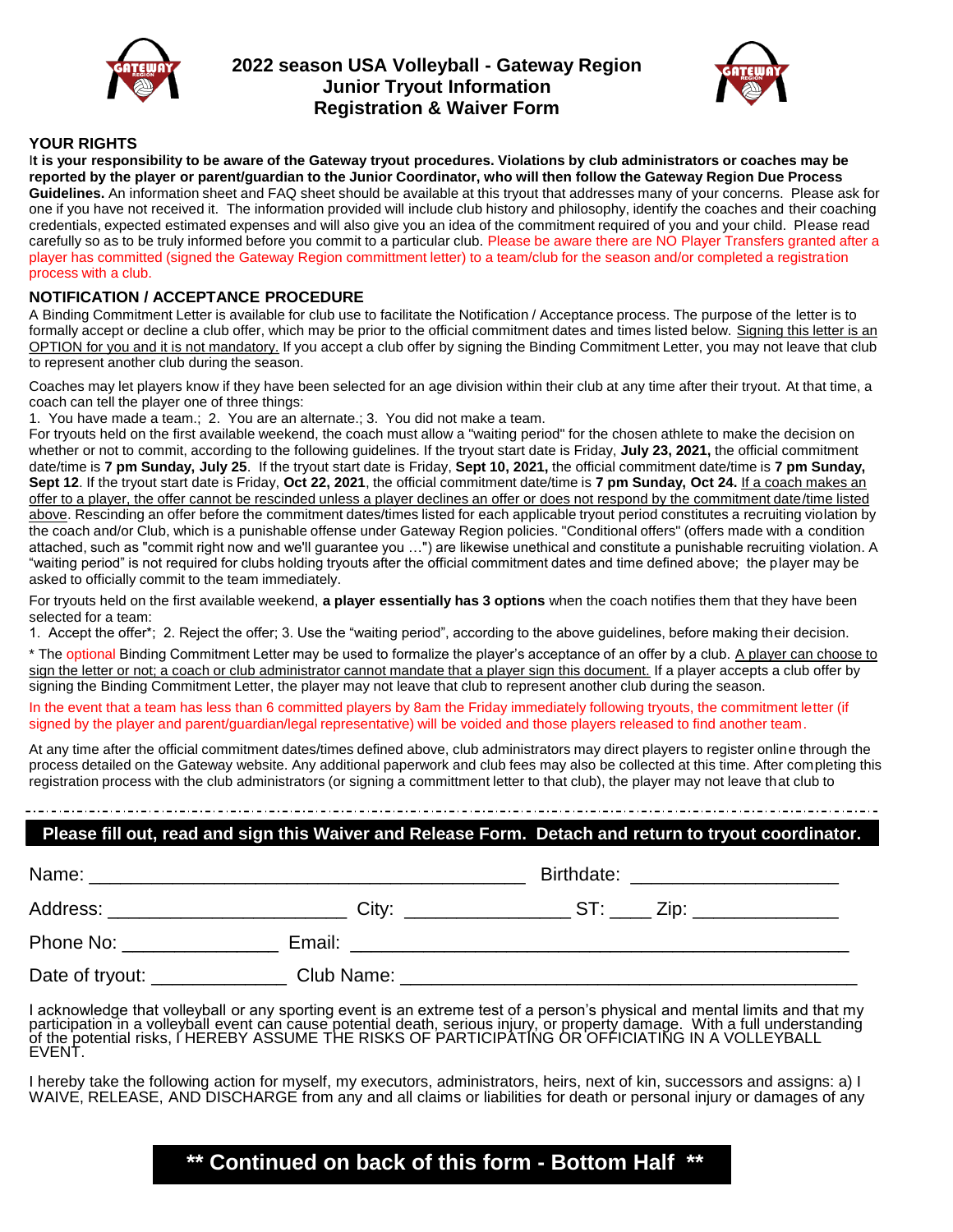

# **2022 season USA Volleyball - Gateway Region Junior Tryout Information Registration & Waiver Form**



## **YOUR RIGHTS**

I**t is your responsibility to be aware of the Gateway tryout procedures. Violations by club administrators or coaches may be reported by the player or parent/guardian to the Junior Coordinator, who will then follow the Gateway Region Due Process Guidelines.** An information sheet and FAQ sheet should be available at this tryout that addresses many of your concerns. Please ask for one if you have not received it. The information provided will include club history and philosophy, identify the coaches and their coaching credentials, expected estimated expenses and will also give you an idea of the commitment required of you and your child. Please read carefully so as to be truly informed before you commit to a particular club. Please be aware there are NO Player Transfers granted after a player has committed (signed the Gateway Region committment letter) to a team/club for the season and/or completed a registration process with a club.

## **NOTIFICATION / ACCEPTANCE PROCEDURE**

A Binding Commitment Letter is available for club use to facilitate the Notification / Acceptance process. The purpose of the letter is to formally accept or decline a club offer, which may be prior to the official commitment dates and times listed below. Signing this letter is an OPTION for you and it is not mandatory. If you accept a club offer by signing the Binding Commitment Letter, you may not leave that club to represent another club during the season.

Coaches may let players know if they have been selected for an age division within their club at any time after their tryout. At that time, a coach can tell the player one of three things:

1. You have made a team.; 2. You are an alternate.; 3. You did not make a team.

For tryouts held on the first available weekend, the coach must allow a "waiting period" for the chosen athlete to make the decision on whether or not to commit, according to the following guidelines. If the tryout start date is Friday, **July 23, 2021,** the official commitment date/time is **7 pm Sunday, July 25**. If the tryout start date is Friday, **Sept 10, 2021,** the official commitment date/time is **7 pm Sunday, Sept 12**. If the tryout start date is Friday, **Oct 22, 2021**, the official commitment date/time is **7 pm Sunday, Oct 24.** If a coach makes an offer to a player, the offer cannot be rescinded unless a player declines an offer or does not respond by the commitment date/time listed above. Rescinding an offer before the commitment dates/times listed for each applicable tryout period constitutes a recruiting violation by the coach and/or Club, which is a punishable offense under Gateway Region policies. "Conditional offers" (offers made with a condition attached, such as "commit right now and we'll guarantee you …") are likewise unethical and constitute a punishable recruiting violation. A "waiting period" is not required for clubs holding tryouts after the official commitment dates and time defined above; the player may be asked to officially commit to the team immediately.

For tryouts held on the first available weekend, **a player essentially has 3 options** when the coach notifies them that they have been selected for a team:

1. Accept the offer\*; 2. Reject the offer; 3. Use the "waiting period", according to the above guidelines, before making their decision.

\* The optional Binding Commitment Letter may be used to formalize the player's acceptance of an offer by a club. A player can choose to sign the letter or not; a coach or club administrator cannot mandate that a player sign this document. If a player accepts a club offer by signing the Binding Commitment Letter, the player may not leave that club to represent another club during the season.

In the event that a team has less than 6 committed players by 8am the Friday immediately following tryouts, the commitment letter (if signed by the player and parent/guardian/legal representative) will be voided and those players released to find another team.

At any time after the official commitment dates/times defined above, club administrators may direct players to register online through the process detailed on the Gateway website. Any additional paperwork and club fees may also be collected at this time. After completing this registration process with the club administrators (or signing a committment letter to that club), the player may not leave that club to

# **Please fill out, read and sign this Waiver and Release Form. Detach and return to tryout coordinator.**

| Name:                      |            | Birthdate:                                                               |  |
|----------------------------|------------|--------------------------------------------------------------------------|--|
| Address: _________________ | City:      | ST:<br>Zip: _______________<br><u>and the community of the community</u> |  |
| Phone No:                  | Email:     |                                                                          |  |
| Date of tryout:            | Club Name: |                                                                          |  |

I acknowledge that volleyball or any sporting event is an extreme test of a person's physical and mental limits and that my participation in a volleyball event can cause potential death, serious injury, or property damage. With a full understanding of the potential risks, I HEREBY ASSUME THE RISKS OF PARTICIPATING OR OFFICIATING IN A VOLLEYBALL EVENT.

I hereby take the following action for myself, my executors, administrators, heirs, next of kin, successors and assigns: a) I WAIVE, RELEASE, AND DISCHARGE from any and all claims or liabilities for death or personal injury or damages of any

# **\*\* Continued on back of this form - Bottom Half \*\***